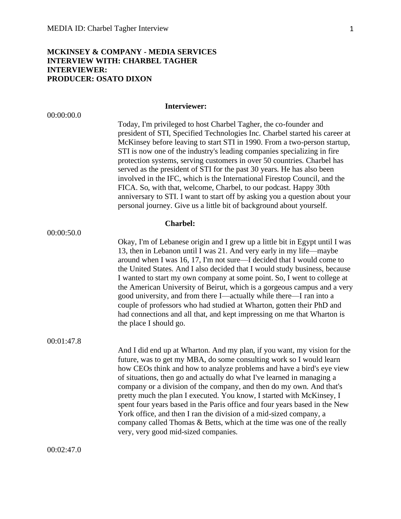## **MCKINSEY & COMPANY - MEDIA SERVICES INTERVIEW WITH: CHARBEL TAGHER INTERVIEWER: PRODUCER: OSATO DIXON**

# **Interviewer:**

| 00:00:00.0 |                                                                                                                                                                                                                                                                                                                                                                                                                                                                                                                                                                                                                                                                                                                                                                      |
|------------|----------------------------------------------------------------------------------------------------------------------------------------------------------------------------------------------------------------------------------------------------------------------------------------------------------------------------------------------------------------------------------------------------------------------------------------------------------------------------------------------------------------------------------------------------------------------------------------------------------------------------------------------------------------------------------------------------------------------------------------------------------------------|
|            | Today, I'm privileged to host Charbel Tagher, the co-founder and<br>president of STI, Specified Technologies Inc. Charbel started his career at<br>McKinsey before leaving to start STI in 1990. From a two-person startup,<br>STI is now one of the industry's leading companies specializing in fire<br>protection systems, serving customers in over 50 countries. Charbel has<br>served as the president of STI for the past 30 years. He has also been<br>involved in the IFC, which is the International Firestop Council, and the<br>FICA. So, with that, welcome, Charbel, to our podcast. Happy 30th<br>anniversary to STI. I want to start off by asking you a question about your<br>personal journey. Give us a little bit of background about yourself. |
| 00:00:50.0 | <b>Charbel:</b>                                                                                                                                                                                                                                                                                                                                                                                                                                                                                                                                                                                                                                                                                                                                                      |
|            | Okay, I'm of Lebanese origin and I grew up a little bit in Egypt until I was<br>13, then in Lebanon until I was 21. And very early in my life—maybe<br>around when I was 16, 17, I'm not sure—I decided that I would come to<br>the United States. And I also decided that I would study business, because<br>I wanted to start my own company at some point. So, I went to college at<br>the American University of Beirut, which is a gorgeous campus and a very<br>good university, and from there I—actually while there—I ran into a<br>couple of professors who had studied at Wharton, gotten their PhD and<br>had connections and all that, and kept impressing on me that Wharton is<br>the place I should go.                                              |
| 00:01:47.8 | And I did end up at Wharton. And my plan, if you want, my vision for the<br>future, was to get my MBA, do some consulting work so I would learn<br>how CEOs think and how to analyze problems and have a bird's eye view<br>of situations, then go and actually do what I've learned in managing a<br>company or a division of the company, and then do my own. And that's<br>pretty much the plan I executed. You know, I started with McKinsey, I<br>spent four years based in the Paris office and four years based in the New<br>York office, and then I ran the division of a mid-sized company, a<br>company called Thomas & Betts, which at the time was one of the really<br>very, very good mid-sized companies.                                            |
| 00:02:47.0 |                                                                                                                                                                                                                                                                                                                                                                                                                                                                                                                                                                                                                                                                                                                                                                      |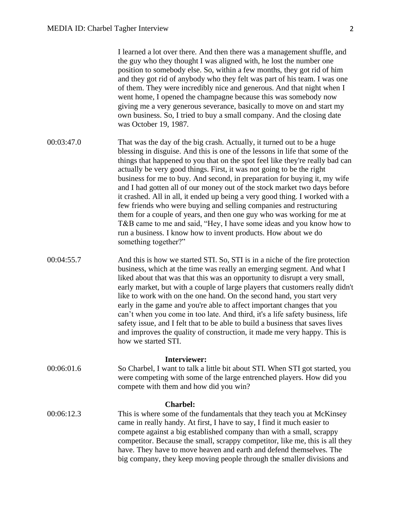I learned a lot over there. And then there was a management shuffle, and the guy who they thought I was aligned with, he lost the number one position to somebody else. So, within a few months, they got rid of him and they got rid of anybody who they felt was part of his team. I was one of them. They were incredibly nice and generous. And that night when I went home, I opened the champagne because this was somebody now giving me a very generous severance, basically to move on and start my own business. So, I tried to buy a small company. And the closing date was October 19, 1987.

- 00:03:47.0 That was the day of the big crash. Actually, it turned out to be a huge blessing in disguise. And this is one of the lessons in life that some of the things that happened to you that on the spot feel like they're really bad can actually be very good things. First, it was not going to be the right business for me to buy. And second, in preparation for buying it, my wife and I had gotten all of our money out of the stock market two days before it crashed. All in all, it ended up being a very good thing. I worked with a few friends who were buying and selling companies and restructuring them for a couple of years, and then one guy who was working for me at T&B came to me and said, "Hey, I have some ideas and you know how to run a business. I know how to invent products. How about we do something together?"
- 00:04:55.7 And this is how we started STI. So, STI is in a niche of the fire protection business, which at the time was really an emerging segment. And what I liked about that was that this was an opportunity to disrupt a very small, early market, but with a couple of large players that customers really didn't like to work with on the one hand. On the second hand, you start very early in the game and you're able to affect important changes that you can't when you come in too late. And third, it's a life safety business, life safety issue, and I felt that to be able to build a business that saves lives and improves the quality of construction, it made me very happy. This is how we started STI.

### **Interviewer:**

00:06:01.6 So Charbel, I want to talk a little bit about STI. When STI got started, you were competing with some of the large entrenched players. How did you compete with them and how did you win?

#### **Charbel:**

00:06:12.3 This is where some of the fundamentals that they teach you at McKinsey came in really handy. At first, I have to say, I find it much easier to compete against a big established company than with a small, scrappy competitor. Because the small, scrappy competitor, like me, this is all they have. They have to move heaven and earth and defend themselves. The big company, they keep moving people through the smaller divisions and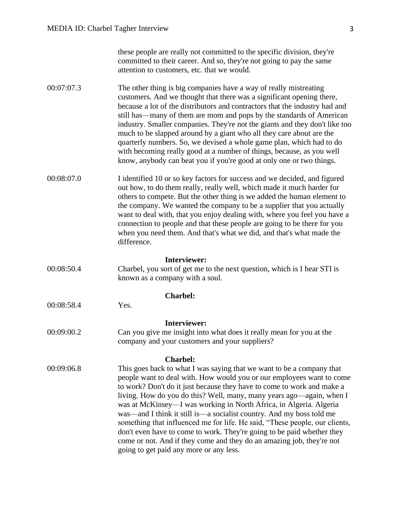| these people are really not committed to the specific division, they're |
|-------------------------------------------------------------------------|
| committed to their career. And so, they're not going to pay the same    |
| attention to customers, etc. that we would.                             |

- 00:07:07.3 The other thing is big companies have a way of really mistreating customers. And we thought that there was a significant opening there, because a lot of the distributors and contractors that the industry had and still has—many of them are mom and pops by the standards of American industry. Smaller companies. They're not the giants and they don't like too much to be slapped around by a giant who all they care about are the quarterly numbers. So, we devised a whole game plan, which had to do with becoming really good at a number of things, because, as you well know, anybody can beat you if you're good at only one or two things.
- 00:08:07.0 I identified 10 or so key factors for success and we decided, and figured out how, to do them really, really well, which made it much harder for others to compete. But the other thing is we added the human element to the company. We wanted the company to be a supplier that you actually want to deal with, that you enjoy dealing with, where you feel you have a connection to people and that these people are going to be there for you when you need them. And that's what we did, and that's what made the difference.

#### **Interviewer:**

00:08:50.4 Charbel, you sort of get me to the next question, which is I hear STI is known as a company with a soul.

#### **Charbel:**

00:08:58.4 Yes.

#### **Interviewer:**

00:09:00.2 Can you give me insight into what does it really mean for you at the company and your customers and your suppliers?

#### **Charbel:**

00:09:06.8 This goes back to what I was saying that we want to be a company that people want to deal with. How would you or our employees want to come to work? Don't do it just because they have to come to work and make a living. How do you do this? Well, many, many years ago—again, when I was at McKinsey—I was working in North Africa, in Algeria. Algeria was—and I think it still is—a socialist country. And my boss told me something that influenced me for life. He said, "These people, our clients, don't even have to come to work. They're going to be paid whether they come or not. And if they come and they do an amazing job, they're not going to get paid any more or any less.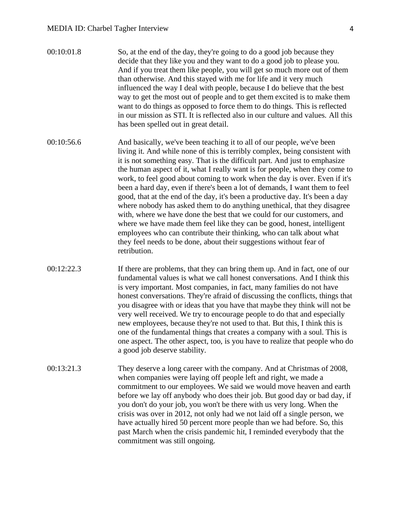- 00:10:01.8 So, at the end of the day, they're going to do a good job because they decide that they like you and they want to do a good job to please you. And if you treat them like people, you will get so much more out of them than otherwise. And this stayed with me for life and it very much influenced the way I deal with people, because I do believe that the best way to get the most out of people and to get them excited is to make them want to do things as opposed to force them to do things. This is reflected in our mission as STI. It is reflected also in our culture and values. All this has been spelled out in great detail.
- 00:10:56.6 And basically, we've been teaching it to all of our people, we've been living it. And while none of this is terribly complex, being consistent with it is not something easy. That is the difficult part. And just to emphasize the human aspect of it, what I really want is for people, when they come to work, to feel good about coming to work when the day is over. Even if it's been a hard day, even if there's been a lot of demands, I want them to feel good, that at the end of the day, it's been a productive day. It's been a day where nobody has asked them to do anything unethical, that they disagree with, where we have done the best that we could for our customers, and where we have made them feel like they can be good, honest, intelligent employees who can contribute their thinking, who can talk about what they feel needs to be done, about their suggestions without fear of retribution.
- 00:12:22.3 If there are problems, that they can bring them up. And in fact, one of our fundamental values is what we call honest conversations. And I think this is very important. Most companies, in fact, many families do not have honest conversations. They're afraid of discussing the conflicts, things that you disagree with or ideas that you have that maybe they think will not be very well received. We try to encourage people to do that and especially new employees, because they're not used to that. But this, I think this is one of the fundamental things that creates a company with a soul. This is one aspect. The other aspect, too, is you have to realize that people who do a good job deserve stability.
- 00:13:21.3 They deserve a long career with the company. And at Christmas of 2008, when companies were laying off people left and right, we made a commitment to our employees. We said we would move heaven and earth before we lay off anybody who does their job. But good day or bad day, if you don't do your job, you won't be there with us very long. When the crisis was over in 2012, not only had we not laid off a single person, we have actually hired 50 percent more people than we had before. So, this past March when the crisis pandemic hit, I reminded everybody that the commitment was still ongoing.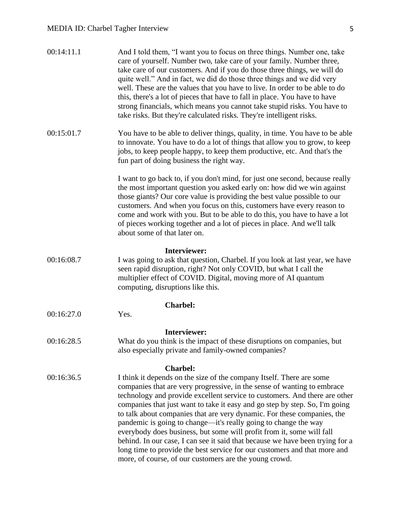| 00:14:11.1 | And I told them, "I want you to focus on three things. Number one, take<br>care of yourself. Number two, take care of your family. Number three,<br>take care of our customers. And if you do those three things, we will do<br>quite well." And in fact, we did do those three things and we did very<br>well. These are the values that you have to live. In order to be able to do<br>this, there's a lot of pieces that have to fall in place. You have to have<br>strong financials, which means you cannot take stupid risks. You have to<br>take risks. But they're calculated risks. They're intelligent risks.                                                                                                                                                        |
|------------|--------------------------------------------------------------------------------------------------------------------------------------------------------------------------------------------------------------------------------------------------------------------------------------------------------------------------------------------------------------------------------------------------------------------------------------------------------------------------------------------------------------------------------------------------------------------------------------------------------------------------------------------------------------------------------------------------------------------------------------------------------------------------------|
| 00:15:01.7 | You have to be able to deliver things, quality, in time. You have to be able<br>to innovate. You have to do a lot of things that allow you to grow, to keep<br>jobs, to keep people happy, to keep them productive, etc. And that's the<br>fun part of doing business the right way.                                                                                                                                                                                                                                                                                                                                                                                                                                                                                           |
|            | I want to go back to, if you don't mind, for just one second, because really<br>the most important question you asked early on: how did we win against<br>those giants? Our core value is providing the best value possible to our<br>customers. And when you focus on this, customers have every reason to<br>come and work with you. But to be able to do this, you have to have a lot<br>of pieces working together and a lot of pieces in place. And we'll talk<br>about some of that later on.                                                                                                                                                                                                                                                                            |
| 00:16:08.7 | Interviewer:<br>I was going to ask that question, Charbel. If you look at last year, we have<br>seen rapid disruption, right? Not only COVID, but what I call the<br>multiplier effect of COVID. Digital, moving more of AI quantum<br>computing, disruptions like this.                                                                                                                                                                                                                                                                                                                                                                                                                                                                                                       |
|            | <b>Charbel:</b>                                                                                                                                                                                                                                                                                                                                                                                                                                                                                                                                                                                                                                                                                                                                                                |
| 00:16:27.0 | Yes.                                                                                                                                                                                                                                                                                                                                                                                                                                                                                                                                                                                                                                                                                                                                                                           |
| 00:16:28.5 | <b>Interviewer:</b><br>What do you think is the impact of these disruptions on companies, but<br>also especially private and family-owned companies?                                                                                                                                                                                                                                                                                                                                                                                                                                                                                                                                                                                                                           |
| 00:16:36.5 | <b>Charbel:</b><br>I think it depends on the size of the company Itself. There are some<br>companies that are very progressive, in the sense of wanting to embrace<br>technology and provide excellent service to customers. And there are other<br>companies that just want to take it easy and go step by step. So, I'm going<br>to talk about companies that are very dynamic. For these companies, the<br>pandemic is going to change—it's really going to change the way<br>everybody does business, but some will profit from it, some will fall<br>behind. In our case, I can see it said that because we have been trying for a<br>long time to provide the best service for our customers and that more and<br>more, of course, of our customers are the young crowd. |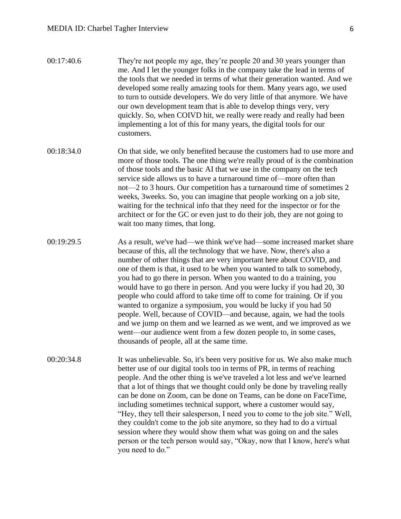| 00:17:40.6 | They're not people my age, they're people 20 and 30 years younger than    |
|------------|---------------------------------------------------------------------------|
|            | me. And I let the younger folks in the company take the lead in terms of  |
|            | the tools that we needed in terms of what their generation wanted. And we |
|            | developed some really amazing tools for them. Many years ago, we used     |
|            | to turn to outside developers. We do very little of that anymore. We have |
|            | our own development team that is able to develop things very, very        |
|            | quickly. So, when COIVD hit, we really were ready and really had been     |
|            | implementing a lot of this for many years, the digital tools for our      |
|            | customers.                                                                |

- 00:18:34.0 On that side, we only benefited because the customers had to use more and more of those tools. The one thing we're really proud of is the combination of those tools and the basic AI that we use in the company on the tech service side allows us to have a turnaround time of—more often than not—2 to 3 hours. Our competition has a turnaround time of sometimes 2 weeks, 3weeks. So, you can imagine that people working on a job site, waiting for the technical info that they need for the inspector or for the architect or for the GC or even just to do their job, they are not going to wait too many times, that long.
- 00:19:29.5 As a result, we've had—we think we've had—some increased market share because of this, all the technology that we have. Now, there's also a number of other things that are very important here about COVID, and one of them is that, it used to be when you wanted to talk to somebody, you had to go there in person. When you wanted to do a training, you would have to go there in person. And you were lucky if you had 20, 30 people who could afford to take time off to come for training. Or if you wanted to organize a symposium, you would be lucky if you had 50 people. Well, because of COVID—and because, again, we had the tools and we jump on them and we learned as we went, and we improved as we went—our audience went from a few dozen people to, in some cases, thousands of people, all at the same time.
- 00:20:34.8 It was unbelievable. So, it's been very positive for us. We also make much better use of our digital tools too in terms of PR, in terms of reaching people. And the other thing is we've traveled a lot less and we've learned that a lot of things that we thought could only be done by traveling really can be done on Zoom, can be done on Teams, can be done on FaceTime, including sometimes technical support, where a customer would say, "Hey, they tell their salesperson, I need you to come to the job site." Well, they couldn't come to the job site anymore, so they had to do a virtual session where they would show them what was going on and the sales person or the tech person would say, "Okay, now that I know, here's what you need to do."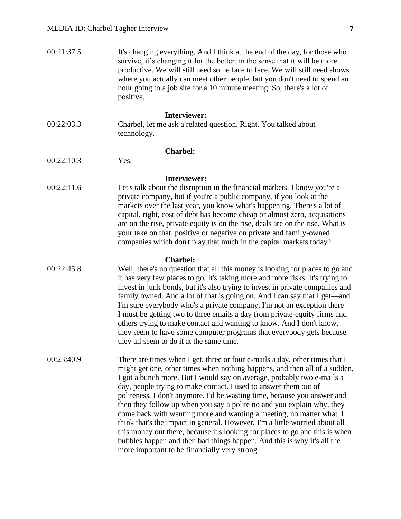| 00:21:37.5 | It's changing everything. And I think at the end of the day, for those who<br>survive, it's changing it for the better, in the sense that it will be more<br>productive. We will still need some face to face. We will still need shows<br>where you actually can meet other people, but you don't need to spend an<br>hour going to a job site for a 10 minute meeting. So, there's a lot of<br>positive.                                                                                                                                                                                                                                                                                                                                                                                                                       |
|------------|----------------------------------------------------------------------------------------------------------------------------------------------------------------------------------------------------------------------------------------------------------------------------------------------------------------------------------------------------------------------------------------------------------------------------------------------------------------------------------------------------------------------------------------------------------------------------------------------------------------------------------------------------------------------------------------------------------------------------------------------------------------------------------------------------------------------------------|
| 00:22:03.3 | <b>Interviewer:</b><br>Charbel, let me ask a related question. Right. You talked about<br>technology.                                                                                                                                                                                                                                                                                                                                                                                                                                                                                                                                                                                                                                                                                                                            |
| 00:22:10.3 | <b>Charbel:</b><br>Yes.                                                                                                                                                                                                                                                                                                                                                                                                                                                                                                                                                                                                                                                                                                                                                                                                          |
|            |                                                                                                                                                                                                                                                                                                                                                                                                                                                                                                                                                                                                                                                                                                                                                                                                                                  |
| 00:22:11.6 | <b>Interviewer:</b><br>Let's talk about the disruption in the financial markets. I know you're a<br>private company, but if you're a public company, if you look at the<br>markets over the last year, you know what's happening. There's a lot of<br>capital, right, cost of debt has become cheap or almost zero, acquisitions<br>are on the rise, private equity is on the rise, deals are on the rise. What is<br>your take on that, positive or negative on private and family-owned<br>companies which don't play that much in the capital markets today?                                                                                                                                                                                                                                                                  |
| 00:22:45.8 | <b>Charbel:</b><br>Well, there's no question that all this money is looking for places to go and<br>it has very few places to go. It's taking more and more risks. It's trying to<br>invest in junk bonds, but it's also trying to invest in private companies and<br>family owned. And a lot of that is going on. And I can say that I get—and<br>I'm sure everybody who's a private company, I'm not an exception there—<br>I must be getting two to three emails a day from private-equity firms and<br>others trying to make contact and wanting to know. And I don't know,<br>they seem to have some computer programs that everybody gets because<br>they all seem to do it at the same time.                                                                                                                              |
| 00:23:40.9 | There are times when I get, three or four e-mails a day, other times that I<br>might get one, other times when nothing happens, and then all of a sudden,<br>I got a bunch more. But I would say on average, probably two e-mails a<br>day, people trying to make contact. I used to answer them out of<br>politeness, I don't anymore. I'd be wasting time, because you answer and<br>then they follow up when you say a polite no and you explain why, they<br>come back with wanting more and wanting a meeting, no matter what. I<br>think that's the impact in general. However, I'm a little worried about all<br>this money out there, because it's looking for places to go and this is when<br>bubbles happen and then bad things happen. And this is why it's all the<br>more important to be financially very strong. |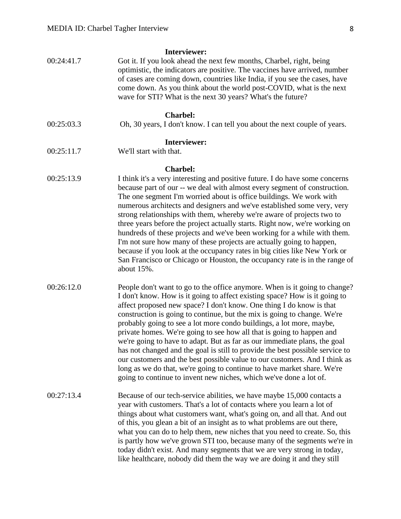| <b>Interviewer:</b> |                                                                                                                                                                                                                                                                                                                                                                                                                                                                                                                                                                                                                                                                                                                                                                                                                                                            |  |
|---------------------|------------------------------------------------------------------------------------------------------------------------------------------------------------------------------------------------------------------------------------------------------------------------------------------------------------------------------------------------------------------------------------------------------------------------------------------------------------------------------------------------------------------------------------------------------------------------------------------------------------------------------------------------------------------------------------------------------------------------------------------------------------------------------------------------------------------------------------------------------------|--|
| 00:24:41.7          | Got it. If you look ahead the next few months, Charbel, right, being<br>optimistic, the indicators are positive. The vaccines have arrived, number<br>of cases are coming down, countries like India, if you see the cases, have<br>come down. As you think about the world post-COVID, what is the next<br>wave for STI? What is the next 30 years? What's the future?                                                                                                                                                                                                                                                                                                                                                                                                                                                                                    |  |
| <b>Charbel:</b>     |                                                                                                                                                                                                                                                                                                                                                                                                                                                                                                                                                                                                                                                                                                                                                                                                                                                            |  |
| 00:25:03.3          | Oh, 30 years, I don't know. I can tell you about the next couple of years.                                                                                                                                                                                                                                                                                                                                                                                                                                                                                                                                                                                                                                                                                                                                                                                 |  |
| Interviewer:        |                                                                                                                                                                                                                                                                                                                                                                                                                                                                                                                                                                                                                                                                                                                                                                                                                                                            |  |
| 00:25:11.7          | We'll start with that.                                                                                                                                                                                                                                                                                                                                                                                                                                                                                                                                                                                                                                                                                                                                                                                                                                     |  |
|                     | <b>Charbel:</b>                                                                                                                                                                                                                                                                                                                                                                                                                                                                                                                                                                                                                                                                                                                                                                                                                                            |  |
| 00:25:13.9          | I think it's a very interesting and positive future. I do have some concerns<br>because part of our -- we deal with almost every segment of construction.<br>The one segment I'm worried about is office buildings. We work with<br>numerous architects and designers and we've established some very, very<br>strong relationships with them, whereby we're aware of projects two to<br>three years before the project actually starts. Right now, we're working on<br>hundreds of these projects and we've been working for a while with them.<br>I'm not sure how many of these projects are actually going to happen,<br>because if you look at the occupancy rates in big cities like New York or<br>San Francisco or Chicago or Houston, the occupancy rate is in the range of<br>about 15%.                                                         |  |
| 00:26:12.0          | People don't want to go to the office anymore. When is it going to change?<br>I don't know. How is it going to affect existing space? How is it going to<br>affect proposed new space? I don't know. One thing I do know is that<br>construction is going to continue, but the mix is going to change. We're<br>probably going to see a lot more condo buildings, a lot more, maybe,<br>private homes. We're going to see how all that is going to happen and<br>we're going to have to adapt. But as far as our immediate plans, the goal<br>has not changed and the goal is still to provide the best possible service to<br>our customers and the best possible value to our customers. And I think as<br>long as we do that, we're going to continue to have market share. We're<br>going to continue to invent new niches, which we've done a lot of. |  |
| 00:27:13.4          | Because of our tech-service abilities, we have maybe 15,000 contacts a<br>year with customers. That's a lot of contacts where you learn a lot of<br>things about what customers want, what's going on, and all that. And out<br>of this, you glean a bit of an insight as to what problems are out there,<br>what you can do to help them, new niches that you need to create. So, this<br>is partly how we've grown STI too, because many of the segments we're in<br>today didn't exist. And many segments that we are very strong in today,<br>like healthcare, nobody did them the way we are doing it and they still                                                                                                                                                                                                                                  |  |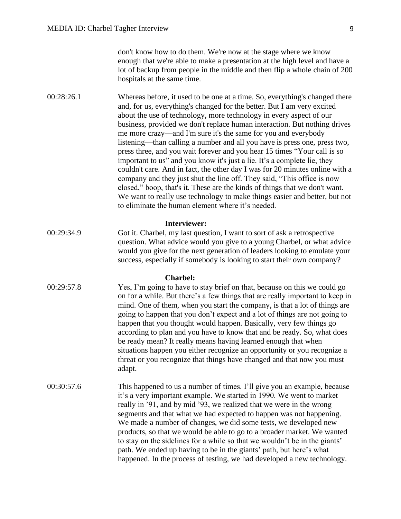00:28:26.1 Whereas before, it used to be one at a time. So, everything's changed there and, for us, everything's changed for the better. But I am very excited about the use of technology, more technology in every aspect of our business, provided we don't replace human interaction. But nothing drives me more crazy—and I'm sure it's the same for you and everybody listening—than calling a number and all you have is press one, press two, press three, and you wait forever and you hear 15 times "Your call is so important to us" and you know it's just a lie. It's a complete lie, they couldn't care. And in fact, the other day I was for 20 minutes online with a company and they just shut the line off. They said, "This office is now closed," boop, that's it. These are the kinds of things that we don't want. We want to really use technology to make things easier and better, but not to eliminate the human element where it's needed.

#### **Interviewer:**

00:29:34.9 Got it. Charbel, my last question, I want to sort of ask a retrospective question. What advice would you give to a young Charbel, or what advice would you give for the next generation of leaders looking to emulate your success, especially if somebody is looking to start their own company?

#### **Charbel:**

- 00:29:57.8 Yes, I'm going to have to stay brief on that, because on this we could go on for a while. But there's a few things that are really important to keep in mind. One of them, when you start the company, is that a lot of things are going to happen that you don't expect and a lot of things are not going to happen that you thought would happen. Basically, very few things go according to plan and you have to know that and be ready. So, what does be ready mean? It really means having learned enough that when situations happen you either recognize an opportunity or you recognize a threat or you recognize that things have changed and that now you must adapt.
- 00:30:57.6 This happened to us a number of times. I'll give you an example, because it's a very important example. We started in 1990. We went to market really in '91, and by mid '93, we realized that we were in the wrong segments and that what we had expected to happen was not happening. We made a number of changes, we did some tests, we developed new products, so that we would be able to go to a broader market. We wanted to stay on the sidelines for a while so that we wouldn't be in the giants' path. We ended up having to be in the giants' path, but here's what happened. In the process of testing, we had developed a new technology.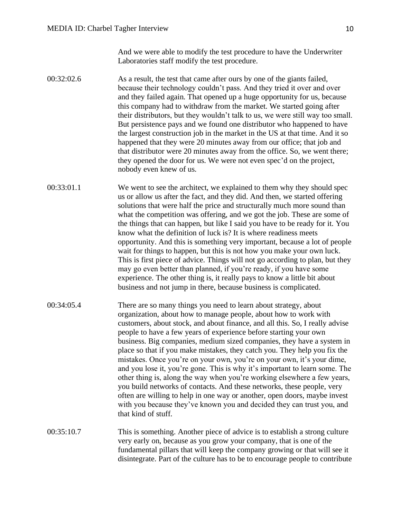And we were able to modify the test procedure to have the Underwriter Laboratories staff modify the test procedure.

- 00:32:02.6 As a result, the test that came after ours by one of the giants failed, because their technology couldn't pass. And they tried it over and over and they failed again. That opened up a huge opportunity for us, because this company had to withdraw from the market. We started going after their distributors, but they wouldn't talk to us, we were still way too small. But persistence pays and we found one distributor who happened to have the largest construction job in the market in the US at that time. And it so happened that they were 20 minutes away from our office; that job and that distributor were 20 minutes away from the office. So, we went there; they opened the door for us. We were not even spec'd on the project, nobody even knew of us.
- 00:33:01.1 We went to see the architect, we explained to them why they should spec us or allow us after the fact, and they did. And then, we started offering solutions that were half the price and structurally much more sound than what the competition was offering, and we got the job. These are some of the things that can happen, but like I said you have to be ready for it. You know what the definition of luck is? It is where readiness meets opportunity. And this is something very important, because a lot of people wait for things to happen, but this is not how you make your own luck. This is first piece of advice. Things will not go according to plan, but they may go even better than planned, if you're ready, if you have some experience. The other thing is, it really pays to know a little bit about business and not jump in there, because business is complicated.
- 00:34:05.4 There are so many things you need to learn about strategy, about organization, about how to manage people, about how to work with customers, about stock, and about finance, and all this. So, I really advise people to have a few years of experience before starting your own business. Big companies, medium sized companies, they have a system in place so that if you make mistakes, they catch you. They help you fix the mistakes. Once you're on your own, you're on your own, it's your dime, and you lose it, you're gone. This is why it's important to learn some. The other thing is, along the way when you're working elsewhere a few years, you build networks of contacts. And these networks, these people, very often are willing to help in one way or another, open doors, maybe invest with you because they've known you and decided they can trust you, and that kind of stuff.
- 00:35:10.7 This is something. Another piece of advice is to establish a strong culture very early on, because as you grow your company, that is one of the fundamental pillars that will keep the company growing or that will see it disintegrate. Part of the culture has to be to encourage people to contribute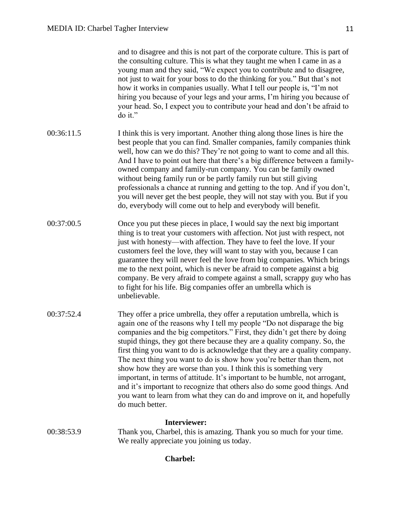and to disagree and this is not part of the corporate culture. This is part of the consulting culture. This is what they taught me when I came in as a young man and they said, "We expect you to contribute and to disagree, not just to wait for your boss to do the thinking for you." But that's not how it works in companies usually. What I tell our people is, "I'm not hiring you because of your legs and your arms, I'm hiring you because of your head. So, I expect you to contribute your head and don't be afraid to do it."

- 00:36:11.5 I think this is very important. Another thing along those lines is hire the best people that you can find. Smaller companies, family companies think well, how can we do this? They're not going to want to come and all this. And I have to point out here that there's a big difference between a familyowned company and family-run company. You can be family owned without being family run or be partly family run but still giving professionals a chance at running and getting to the top. And if you don't, you will never get the best people, they will not stay with you. But if you do, everybody will come out to help and everybody will benefit.
- 00:37:00.5 Once you put these pieces in place, I would say the next big important thing is to treat your customers with affection. Not just with respect, not just with honesty—with affection. They have to feel the love. If your customers feel the love, they will want to stay with you, because I can guarantee they will never feel the love from big companies. Which brings me to the next point, which is never be afraid to compete against a big company. Be very afraid to compete against a small, scrappy guy who has to fight for his life. Big companies offer an umbrella which is unbelievable.
- 00:37:52.4 They offer a price umbrella, they offer a reputation umbrella, which is again one of the reasons why I tell my people "Do not disparage the big companies and the big competitors." First, they didn't get there by doing stupid things, they got there because they are a quality company. So, the first thing you want to do is acknowledge that they are a quality company. The next thing you want to do is show how you're better than them, not show how they are worse than you. I think this is something very important, in terms of attitude. It's important to be humble, not arrogant, and it's important to recognize that others also do some good things. And you want to learn from what they can do and improve on it, and hopefully do much better.

## **Interviewer:**

00:38:53.9 Thank you, Charbel, this is amazing. Thank you so much for your time. We really appreciate you joining us today.

## **Charbel:**